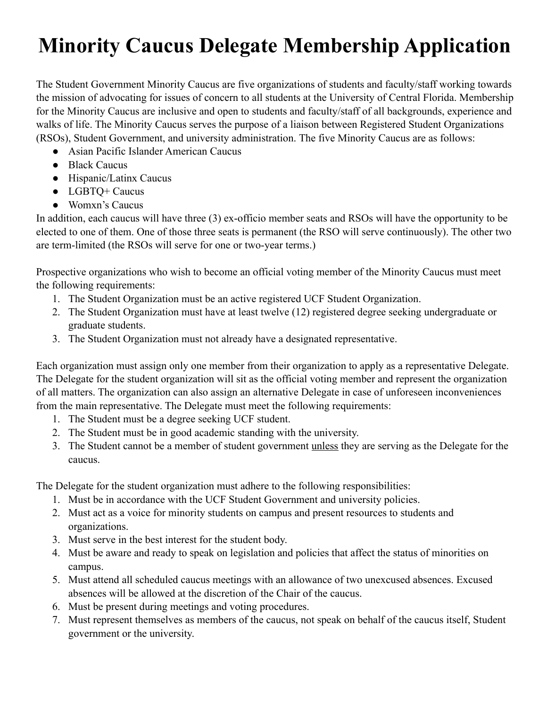## **Minority Caucus Delegate Membership Application**

The Student Government Minority Caucus are five organizations of students and faculty/staff working towards the mission of advocating for issues of concern to all students at the University of Central Florida. Membership for the Minority Caucus are inclusive and open to students and faculty/staff of all backgrounds, experience and walks of life. The Minority Caucus serves the purpose of a liaison between Registered Student Organizations (RSOs), Student Government, and university administration. The five Minority Caucus are as follows:

- Asian Pacific Islander American Caucus
- Black Caucus
- Hispanic/Latinx Caucus
- LGBTQ+ Caucus
- Womxn's Caucus

In addition, each caucus will have three (3) ex-officio member seats and RSOs will have the opportunity to be elected to one of them. One of those three seats is permanent (the RSO will serve continuously). The other two are term-limited (the RSOs will serve for one or two-year terms.)

Prospective organizations who wish to become an official voting member of the Minority Caucus must meet the following requirements:

- 1. The Student Organization must be an active registered UCF Student Organization.
- 2. The Student Organization must have at least twelve (12) registered degree seeking undergraduate or graduate students.
- 3. The Student Organization must not already have a designated representative.

Each organization must assign only one member from their organization to apply as a representative Delegate. The Delegate for the student organization will sit as the official voting member and represent the organization of all matters. The organization can also assign an alternative Delegate in case of unforeseen inconveniences from the main representative. The Delegate must meet the following requirements:

- 1. The Student must be a degree seeking UCF student.
- 2. The Student must be in good academic standing with the university.
- 3. The Student cannot be a member of student government unless they are serving as the Delegate for the caucus.

The Delegate for the student organization must adhere to the following responsibilities:

- 1. Must be in accordance with the UCF Student Government and university policies.
- 2. Must act as a voice for minority students on campus and present resources to students and organizations.
- 3. Must serve in the best interest for the student body.
- 4. Must be aware and ready to speak on legislation and policies that affect the status of minorities on campus.
- 5. Must attend all scheduled caucus meetings with an allowance of two unexcused absences. Excused absences will be allowed at the discretion of the Chair of the caucus.
- 6. Must be present during meetings and voting procedures.
- 7. Must represent themselves as members of the caucus, not speak on behalf of the caucus itself, Student government or the university.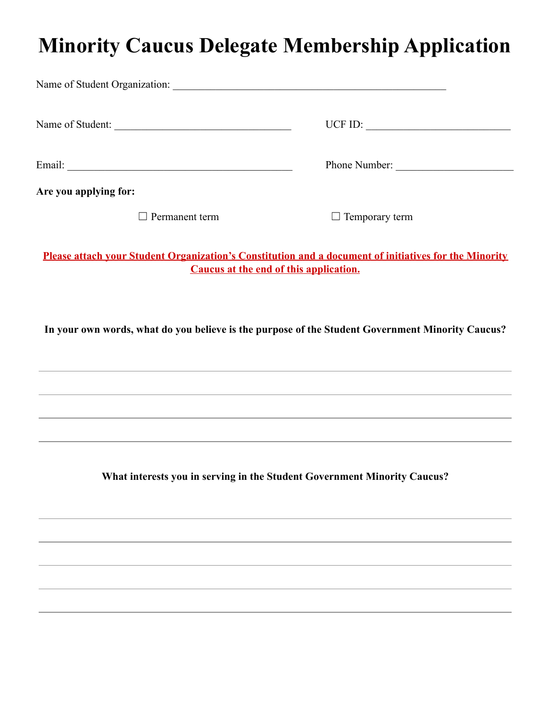## **Minority Caucus Delegate Membership Application**

| Name of Student:                                                                                                                                | UCF ID: $\qquad \qquad \qquad$ |  |
|-------------------------------------------------------------------------------------------------------------------------------------------------|--------------------------------|--|
|                                                                                                                                                 | Phone Number:                  |  |
| Are you applying for:                                                                                                                           |                                |  |
| Permanent term                                                                                                                                  | $\Box$ Temporary term          |  |
| Please attach your Student Organization's Constitution and a document of initiatives for the Minority<br>Caucus at the end of this application. |                                |  |

**In your own words, what do you believe is the purpose of the Student Government Minority Caucus?**

**What interests you in serving in the Student Government Minority Caucus?**